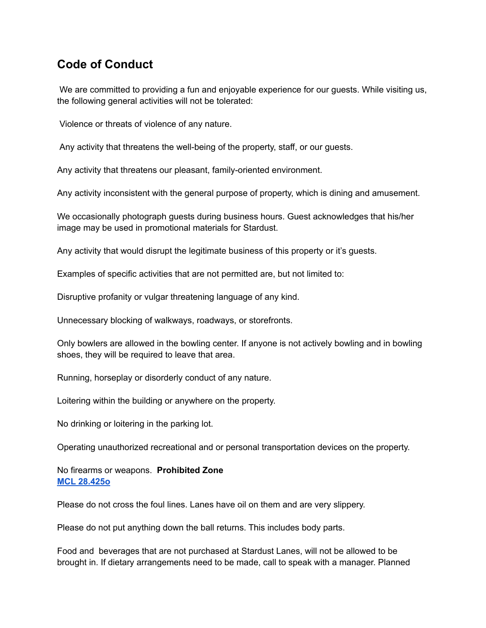## **Code of Conduct**

We are committed to providing a fun and enjoyable experience for our guests. While visiting us, the following general activities will not be tolerated:

Violence or threats of violence of any nature.

Any activity that threatens the well-being of the property, staff, or our guests.

Any activity that threatens our pleasant, family-oriented environment.

Any activity inconsistent with the general purpose of property, which is dining and amusement.

We occasionally photograph guests during business hours. Guest acknowledges that his/her image may be used in promotional materials for Stardust.

Any activity that would disrupt the legitimate business of this property or it's guests.

Examples of specific activities that are not permitted are, but not limited to:

Disruptive profanity or vulgar threatening language of any kind.

Unnecessary blocking of walkways, roadways, or storefronts.

Only bowlers are allowed in the bowling center. If anyone is not actively bowling and in bowling shoes, they will be required to leave that area.

Running, horseplay or disorderly conduct of any nature.

Loitering within the building or anywhere on the property.

No drinking or loitering in the parking lot.

Operating unauthorized recreational and or personal transportation devices on the property.

No firearms or weapons. **Prohibited Zone MCL [28.425o](https://www.michigan.gov/msp/0,4643,7-123-1878_1591_3503_4654-10947--,00.html)**

Please do not cross the foul lines. Lanes have oil on them and are very slippery.

Please do not put anything down the ball returns. This includes body parts.

Food and beverages that are not purchased at Stardust Lanes, will not be allowed to be brought in. If dietary arrangements need to be made, call to speak with a manager. Planned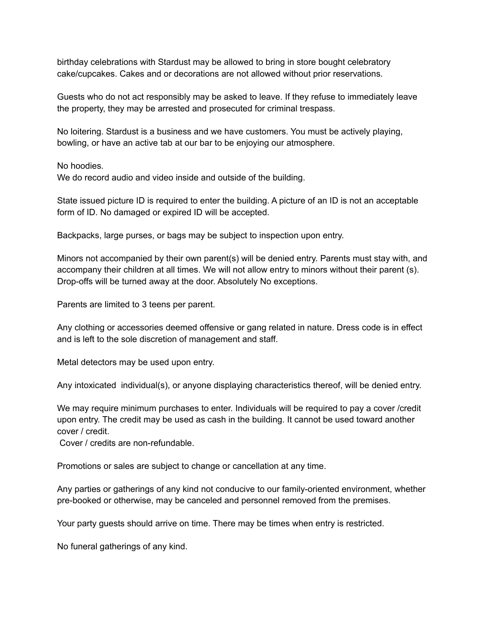birthday celebrations with Stardust may be allowed to bring in store bought celebratory cake/cupcakes. Cakes and or decorations are not allowed without prior reservations.

Guests who do not act responsibly may be asked to leave. If they refuse to immediately leave the property, they may be arrested and prosecuted for criminal trespass.

No loitering. Stardust is a business and we have customers. You must be actively playing, bowling, or have an active tab at our bar to be enjoying our atmosphere.

No hoodies.

We do record audio and video inside and outside of the building.

State issued picture ID is required to enter the building. A picture of an ID is not an acceptable form of ID. No damaged or expired ID will be accepted.

Backpacks, large purses, or bags may be subject to inspection upon entry.

Minors not accompanied by their own parent(s) will be denied entry. Parents must stay with, and accompany their children at all times. We will not allow entry to minors without their parent (s). Drop-offs will be turned away at the door. Absolutely No exceptions.

Parents are limited to 3 teens per parent.

Any clothing or accessories deemed offensive or gang related in nature. Dress code is in effect and is left to the sole discretion of management and staff.

Metal detectors may be used upon entry.

Any intoxicated individual(s), or anyone displaying characteristics thereof, will be denied entry.

We may require minimum purchases to enter. Individuals will be required to pay a cover /credit upon entry. The credit may be used as cash in the building. It cannot be used toward another cover / credit.

Cover / credits are non-refundable.

Promotions or sales are subject to change or cancellation at any time.

Any parties or gatherings of any kind not conducive to our family-oriented environment, whether pre-booked or otherwise, may be canceled and personnel removed from the premises.

Your party guests should arrive on time. There may be times when entry is restricted.

No funeral gatherings of any kind.